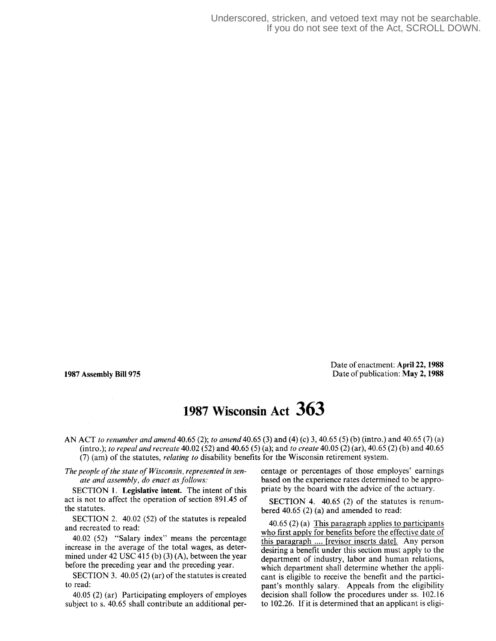Date of enactment: April 22, 1988 **<sup>1987</sup>Assembly Bill 975** Date of publication: May **2,1988**

## **1987 Wisconsin Act 363**

AN ACT *to renumber and amend 40.65 (2); to amend 40.65 (3)* and *(4) (c) 3, 40.65 (5)* (b) (intro.) and *40.65 (7)* (a) (intro.); *to repeal and recreate 40.02 (52)* and *40.65 (5) (a);* and *to create 40.05 (2) (ar), 40.65 (2)* (b) and *40.65 (7)* (am) of the statutes, *relating to* disability benefits for the Wisconsin retirement system.

*The people of the state of Wisconsin, represented in senate and assembly, do enact as follows:*

SECTION 1. **Legislative intent.** The intent of this act is not to affect the operation of section *891.45* of the statutes.

SECTION *2. 40.02 (52)* of the statutes is repealed and recreated to read:

*40.02 (52)* "Salary index" means the percentage increase in the average of the total wages, as determined under *42 USC 415* (b) *(3) (A),* between the year before the preceding year and the preceding year.

SECTION *3. 40.05 (2)* (ar) of the statutes is created to read:

*40.05 (2)* (ar) Participating employers of employes subject to s. *40.65* shall contribute an additional percentage or percentages of those employes' earnings based on the experience rates determined to be appropriate by the board with the advice of the actuary.

SECTION *4. 40.65 (2)* of the statutes is renumbered *40.65 (2)* (a) and amended to read:

*40.65 (2)* (a) This paragraph applies to participants who first apply for benefits before the effective date of this paragraph .... [revisor inserts date]. Any person desiring a benefit under this section must apply to the department of industry, labor and human relations, which department shall determine whether the applicant is eligible to receive the benefit and the participant's monthly salary. Appeals from the eligibility decision shall follow the procedures under ss. *102.16* to *102.26.* If it is determined that an applicant is eligi-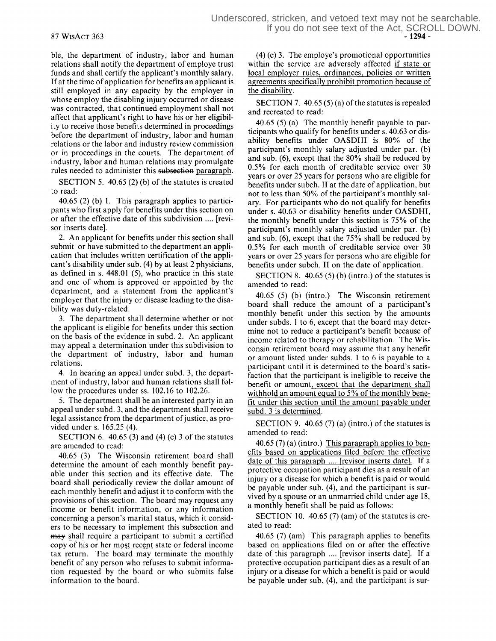ble, the department of industry, labor and human relations shall notify the department of employe trust funds and shall certify the applicant's monthly salary. If at the time of application for benefits an applicant is still employed in any capacity by the employer in whose employ the disabling injury occurred or disease was contracted, that continued employment shall not affect that applicant's right to have his or her eligibility to receive those benefits determined in proceedings before the department of industry, labor and human relations or the labor and industry review commission or in proceedings in the courts. The department of industry, labor and human relations may promulgate rules needed to administer this subsection paragraph.

SECTION 5. 40.65 (2) (b) of the statutes is created to read:

40.65 (2) (b) 1. This paragraph applies to participants who first apply for benefits under this section on or after the effective date of this subdivision .... [revisor inserts date].

2. An applicant for benefits under this section shall submit or have submitted to the department an application that includes written certification of the applicant's disability under sub. (4) by at least 2 physicians, as defined in s. 448.01 (5), who practice in this state and one of whom is approved or appointed by the department, and a statement from the applicant's employer that the injury or disease leading to the disability was duty-related.

3. The department shall determine whether or not the applicant is eligible for benefits under this section on the basis of the evidence in subd. 2. An applicant may appeal a determination under this subdivision to the department of industry, labor and human relations.

4. In hearing an appeal under subd. 3, the department of industry, labor and human relations shall follow the procedures under ss. 102.16 to 102.26.

5. The department shall be an interested party in an appeal under subd. 3, and the department shall receive legal assistance from the department of justice, as provided under s. 165.25 (4).

SECTION 6. 40.65 (3) and (4) (c) 3 of the statutes are amended to read:

40.65 (3) The Wisconsin retirement board shall determine the amount of each monthly benefit payable under this section and its effective date. The board shall periodically review the dollar amount of each monthly benefit and adjust it to conform with the provisions of this section. The board may request any income or benefit information, or any information concerning a person's marital status, which it considers to be necessary to implement this subsection and may shall require a participant to submit a certified copy of his or her most recent state or federal income tax return. The board may terminate the monthly benefit of any person who refuses to submit information requested by the board or who submits false information to the board.

(4) (c) 3. The employe's promotional opportunities within the service are adversely affected if state or local employer rules, ordinances, policies or written agreements specifically prohibit promotion because of the disability.

SECTION 7. 40.65 (5) (a) of the statutes is repealed and recreated to read:

40.65 (5) (a) The monthly benefit payable to participants who qualify for benefits under s. 40.63 or disability benefits under OASDHI is 80% of the participant's monthly salary adjusted under par. (b) and sub. (6), except that the 80% shall be reduced by 0.5% for each month of creditable service over 30 years or over 25 years for persons who are eligible for benefits under subch. II at the date of application, but not to less than 50% of the participant's monthly salary. For participants who do not qualify for benefits under s. 40.63 or disability benefits under OASDHI, the monthly benefit under this section is 75% of the participant's monthly salary adjusted under par. (b) and sub. (6), except that the 75% shall be reduced by 0.5% for each month of creditable service over 30 years or over 25 years for persons who are eligible for benefits under subch. II on the date of application.

SECTION 8. 40.65 (5) (b) (intro.) of the statutes is amended to read:

40.65 (5) (b) (intro.) The Wisconsin retirement board shall reduce the amount of a participant's monthly benefit under this section by the amounts under subds. 1 to 6, except that the board may determine not to reduce a participant's benefit because of income related to therapy or rehabilitation. The Wisconsin retirement board may assume that any benefit or amount listed under subds. 1 to 6 is payable to a participant until it is determined to the board's satisfaction that the participant is ineligible to receive the benefit or amount, except that the department shall withhold an amount equal to 5% of the monthly benefit under this section until the amount payable under subd. 3 is determined.

SECTION 9. 40.65  $(7)$  (a) (intro.) of the statutes is amended to read:

40.65 (7) (a) (intro.) This paragraph applies to benefits based on applications filed before the effective date of this paragraph .... [revisor inserts date]. If a protective occupation participant dies as a result of an injury or a disease for which a benefit is paid or would be payable under sub. (4), and the participant is survived by a spouse or an unmarried child under age 18, a monthly benefit shall be paid as follows:

SECTION 10. 40.65 (7) (am) of the statutes is created to read:

40.65 (7) (am) This paragraph applies to benefits based on applications filed on or after the effective date of this paragraph .... [revisor inserts date]. If a protective occupation participant dies as a result of an injury or a disease for which a benefit is paid or would be payable under sub. (4), and the participant is sur